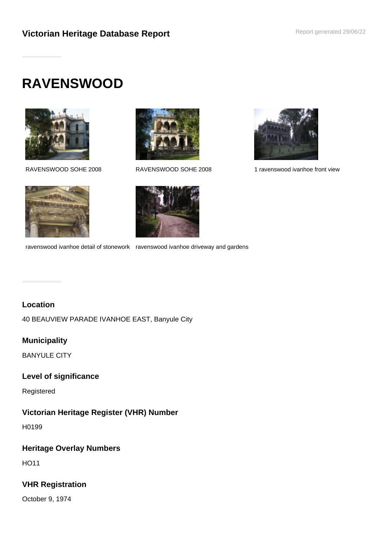# **RAVENSWOOD**





ravenswood ivanhoe detail of stonework ravenswood ivanhoe driveway and gardens



RAVENSWOOD SOHE 2008 RAVENSWOOD SOHE 2008 1 ravenswood ivanhoe front view

# **Location**

40 BEAUVIEW PARADE IVANHOE EAST, Banyule City

# **Municipality**

BANYULE CITY

# **Level of significance**

Registered

# **Victorian Heritage Register (VHR) Number**

H0199

# **Heritage Overlay Numbers**

HO11

# **VHR Registration**

October 9, 1974

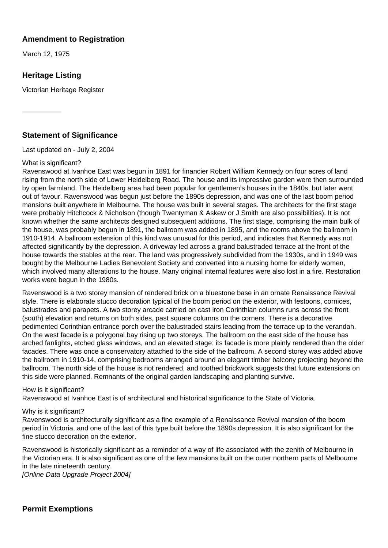## **Amendment to Registration**

March 12, 1975

# **Heritage Listing**

Victorian Heritage Register

## **Statement of Significance**

Last updated on - July 2, 2004

### What is significant?

Ravenswood at Ivanhoe East was begun in 1891 for financier Robert William Kennedy on four acres of land rising from the north side of Lower Heidelberg Road. The house and its impressive garden were then surrounded by open farmland. The Heidelberg area had been popular for gentlemen's houses in the 1840s, but later went out of favour. Ravenswood was begun just before the 1890s depression, and was one of the last boom period mansions built anywhere in Melbourne. The house was built in several stages. The architects for the first stage were probably Hitchcock & Nicholson (though Twentyman & Askew or J Smith are also possibilities). It is not known whether the same architects designed subsequent additions. The first stage, comprising the main bulk of the house, was probably begun in 1891, the ballroom was added in 1895, and the rooms above the ballroom in 1910-1914. A ballroom extension of this kind was unusual for this period, and indicates that Kennedy was not affected significantly by the depression. A driveway led across a grand balustraded terrace at the front of the house towards the stables at the rear. The land was progressively subdivided from the 1930s, and in 1949 was bought by the Melbourne Ladies Benevolent Society and converted into a nursing home for elderly women, which involved many alterations to the house. Many original internal features were also lost in a fire. Restoration works were begun in the 1980s.

Ravenswood is a two storey mansion of rendered brick on a bluestone base in an ornate Renaissance Revival style. There is elaborate stucco decoration typical of the boom period on the exterior, with festoons, cornices, balustrades and parapets. A two storey arcade carried on cast iron Corinthian columns runs across the front (south) elevation and returns on both sides, past square columns on the corners. There is a decorative pedimented Corinthian entrance porch over the balustraded stairs leading from the terrace up to the verandah. On the west facade is a polygonal bay rising up two storeys. The ballroom on the east side of the house has arched fanlights, etched glass windows, and an elevated stage; its facade is more plainly rendered than the older facades. There was once a conservatory attached to the side of the ballroom. A second storey was added above the ballroom in 1910-14, comprising bedrooms arranged around an elegant timber balcony projecting beyond the ballroom. The north side of the house is not rendered, and toothed brickwork suggests that future extensions on this side were planned. Remnants of the original garden landscaping and planting survive.

#### How is it significant?

Ravenswood at Ivanhoe East is of architectural and historical significance to the State of Victoria.

#### Why is it significant?

Ravenswood is architecturally significant as a fine example of a Renaissance Revival mansion of the boom period in Victoria, and one of the last of this type built before the 1890s depression. It is also significant for the fine stucco decoration on the exterior.

Ravenswood is historically significant as a reminder of a way of life associated with the zenith of Melbourne in the Victorian era. It is also significant as one of the few mansions built on the outer northern parts of Melbourne in the late nineteenth century.

[Online Data Upgrade Project 2004]

**Permit Exemptions**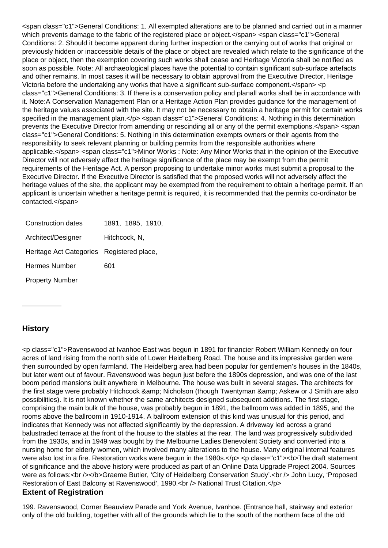<span class="c1">General Conditions: 1. All exempted alterations are to be planned and carried out in a manner which prevents damage to the fabric of the registered place or object.</span> <span class="c1">General Conditions: 2. Should it become apparent during further inspection or the carrying out of works that original or previously hidden or inaccessible details of the place or object are revealed which relate to the significance of the place or object, then the exemption covering such works shall cease and Heritage Victoria shall be notified as soon as possible. Note: All archaeological places have the potential to contain significant sub-surface artefacts and other remains. In most cases it will be necessary to obtain approval from the Executive Director, Heritage Victoria before the undertaking any works that have a significant sub-surface component.</span> <p class="c1">General Conditions: 3. If there is a conservation policy and planall works shall be in accordance with it. Note:A Conservation Management Plan or a Heritage Action Plan provides guidance for the management of the heritage values associated with the site. It may not be necessary to obtain a heritage permit for certain works specified in the management plan.</p> <span class="c1">General Conditions: 4. Nothing in this determination prevents the Executive Director from amending or rescinding all or any of the permit exemptions.</span> <span class="c1">General Conditions: 5. Nothing in this determination exempts owners or their agents from the responsibility to seek relevant planning or building permits from the responsible authorities where applicable.</span> <span class="c1">Minor Works : Note: Any Minor Works that in the opinion of the Executive Director will not adversely affect the heritage significance of the place may be exempt from the permit requirements of the Heritage Act. A person proposing to undertake minor works must submit a proposal to the Executive Director. If the Executive Director is satisfied that the proposed works will not adversely affect the heritage values of the site, the applicant may be exempted from the requirement to obtain a heritage permit. If an applicant is uncertain whether a heritage permit is required, it is recommended that the permits co-ordinator be contacted.</span>

| Construction dates                        | 1891, 1895, 1910, |
|-------------------------------------------|-------------------|
| Architect/Designer                        | Hitchcock, N,     |
| Heritage Act Categories Registered place, |                   |
| Hermes Number                             | 601               |
| <b>Property Number</b>                    |                   |

# **History**

<p class="c1">Ravenswood at Ivanhoe East was begun in 1891 for financier Robert William Kennedy on four acres of land rising from the north side of Lower Heidelberg Road. The house and its impressive garden were then surrounded by open farmland. The Heidelberg area had been popular for gentlemen's houses in the 1840s, but later went out of favour. Ravenswood was begun just before the 1890s depression, and was one of the last boom period mansions built anywhere in Melbourne. The house was built in several stages. The architects for the first stage were probably Hitchcock & amp; Nicholson (though Twentyman & amp; Askew or J Smith are also possibilities). It is not known whether the same architects designed subsequent additions. The first stage, comprising the main bulk of the house, was probably begun in 1891, the ballroom was added in 1895, and the rooms above the ballroom in 1910-1914. A ballroom extension of this kind was unusual for this period, and indicates that Kennedy was not affected significantly by the depression. A driveway led across a grand balustraded terrace at the front of the house to the stables at the rear. The land was progressively subdivided from the 1930s, and in 1949 was bought by the Melbourne Ladies Benevolent Society and converted into a nursing home for elderly women, which involved many alterations to the house. Many original internal features were also lost in a fire. Restoration works were begun in the 1980s.</p> <p class="c1"><br/>>b>The draft statement of significance and the above history were produced as part of an Online Data Upgrade Project 2004. Sources were as follows:<br />></b>Graeme Butler, 'City of Heidelberg Conservation Study'.<br />> John Lucy, 'Proposed Restoration of East Balcony at Ravenswood', 1990.<br />br />
National Trust Citation.</p> **Extent of Registration**

199. Ravenswood, Corner Beauview Parade and York Avenue, Ivanhoe. (Entrance hall, stairway and exterior only of the old building, together with all of the grounds which lie to the south of the northern face of the old